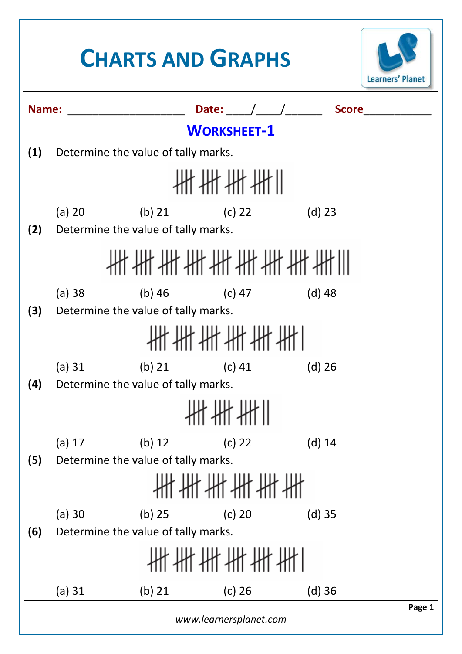## **CHARTS AND GRAPHS Learners' Planet Name:** \_\_\_\_\_\_\_\_\_\_\_\_\_\_\_\_\_\_\_ **Date:** \_\_\_\_/\_\_\_\_/\_\_\_\_\_\_ **Score**\_\_\_\_\_\_\_\_\_\_\_ **WORKSHEET‐1 (1)** Determine the value of tally marks. *╫╫╫╫╫* (a) 20 (b) 21 (c) 22 (d) 23 **(2)** Determine the value of tally marks. ╫╫╫╫╫╫╫╫╫╫╫╫ (a) 38 (b) 46 (c) 47 (d) 48 **(3)** Determine the value of tally marks. *、出出出出出]* (a) 31 (b) 21 (c) 41 (d) 26 **(4)** Determine the value of tally marks. ₩₩₩∥ (a) 17 (b) 12 (c) 22 (d) 14 **(5)** Determine the value of tally marks. ╫╫╫╫╫╫╫ (a) 30 (b) 25 (c) 20 (d) 35 **(6)** Determine the value of tally marks. *╫╫╫╫╫╫*╫ (a) 31 (b) 21 (c) 26 (d) 36**Page 1**

*www.learnersplanet.com*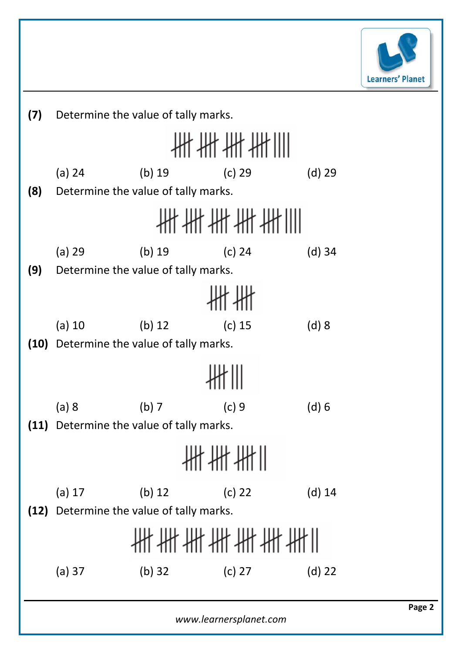

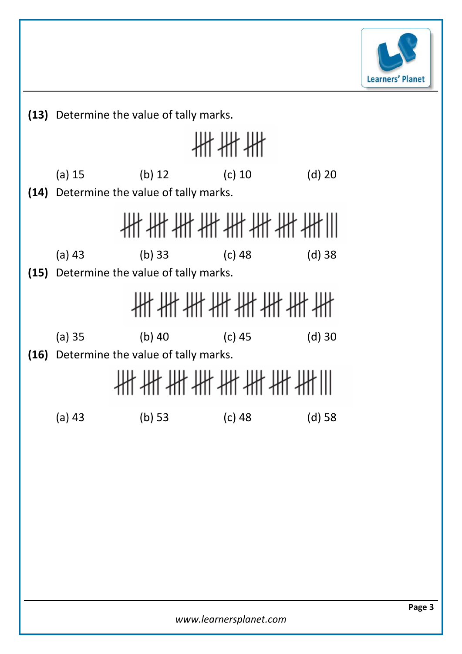

**(13)** Determine the value of tally marks.

₩₩₩ (a) 15 (b) 12 (c) 10 (d) 20 **(14)** Determine the value of tally marks. **批批批批批批批批** (a) 43 (b) 33 (c) 48 (d) 38 **(15)** Determine the value of tally marks. ╫╫╫╫╫╫╫╫╫ (a) 35 (b) 40 (c) 45 (d) 30 **(16)** Determine the value of tally marks. ╫╫╫╫╫╫╫╫╫╫╫ (a) 43 (b) 53 (c) 48 (d) 58